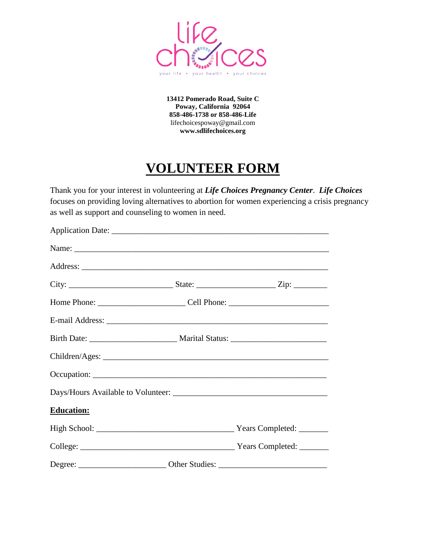

**13412 Pomerado Road, Suite C Poway, California 92064 858-486-1738 or 858-486-Life** lifechoicespoway@gmail.com **www.sdlifechoices.org**

## **VOLUNTEER FORM**

Thank you for your interest in volunteering at *Life Choices Pregnancy Center*. *Life Choices* focuses on providing loving alternatives to abortion for women experiencing a crisis pregnancy as well as support and counseling to women in need.

| <b>Education:</b> |  |
|-------------------|--|
|                   |  |
|                   |  |
|                   |  |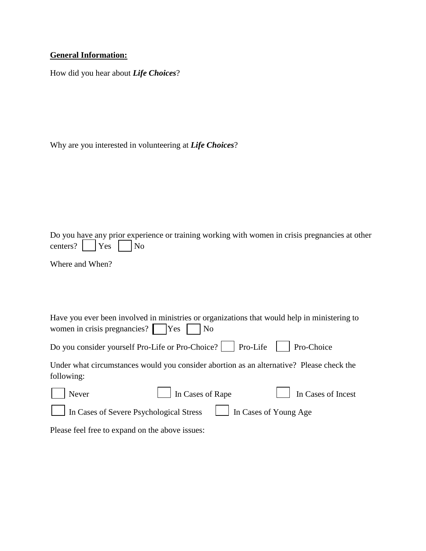## **General Information:**

How did you hear about *Life Choices*?

Why are you interested in volunteering at *Life Choices*?

|                     |  | Do you have any prior experience or training working with women in crisis pregnancies at other |
|---------------------|--|------------------------------------------------------------------------------------------------|
| centers? $Yes \tNo$ |  |                                                                                                |

Where and When?

| women in crisis pregnancies? $\Box$ Yes $\Box$ No | Have you ever been involved in ministries or organizations that would help in ministering to |                    |
|---------------------------------------------------|----------------------------------------------------------------------------------------------|--------------------|
|                                                   | Do you consider yourself Pro-Life or Pro-Choice?     Pro-Life     Pro-Choice                 |                    |
| following:                                        | Under what circumstances would you consider abortion as an alternative? Please check the     |                    |
| Never                                             | In Cases of Rape                                                                             | In Cases of Incest |

In Cases of Severe Psychological Stress In Cases of Young Age

Please feel free to expand on the above issues: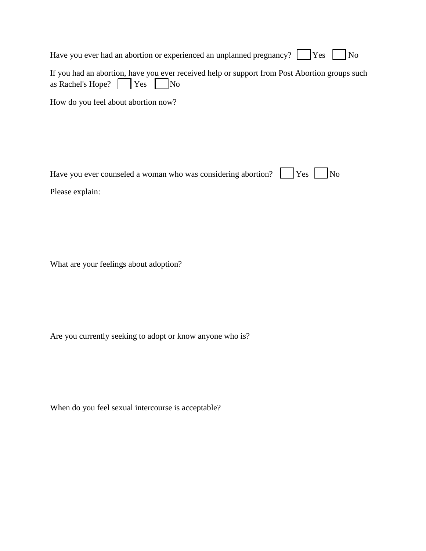| Have you ever had an abortion or experienced an unplanned pregnancy? $ $   Yes     No                                                   |
|-----------------------------------------------------------------------------------------------------------------------------------------|
| If you had an abortion, have you ever received help or support from Post Abortion groups such<br>as Rachel's Hope? $\Box$ Yes $\Box$ No |
| How do you feel about abortion now?                                                                                                     |

 $\overline{\phantom{a}}$ 

 $\sim$  100  $\sim$ 

| Have you ever counseled a woman who was considering abortion? $\Box$ Yes $\Box$ No |  |  |
|------------------------------------------------------------------------------------|--|--|
| Please explain:                                                                    |  |  |

What are your feelings about adoption?

Are you currently seeking to adopt or know anyone who is?

When do you feel sexual intercourse is acceptable?